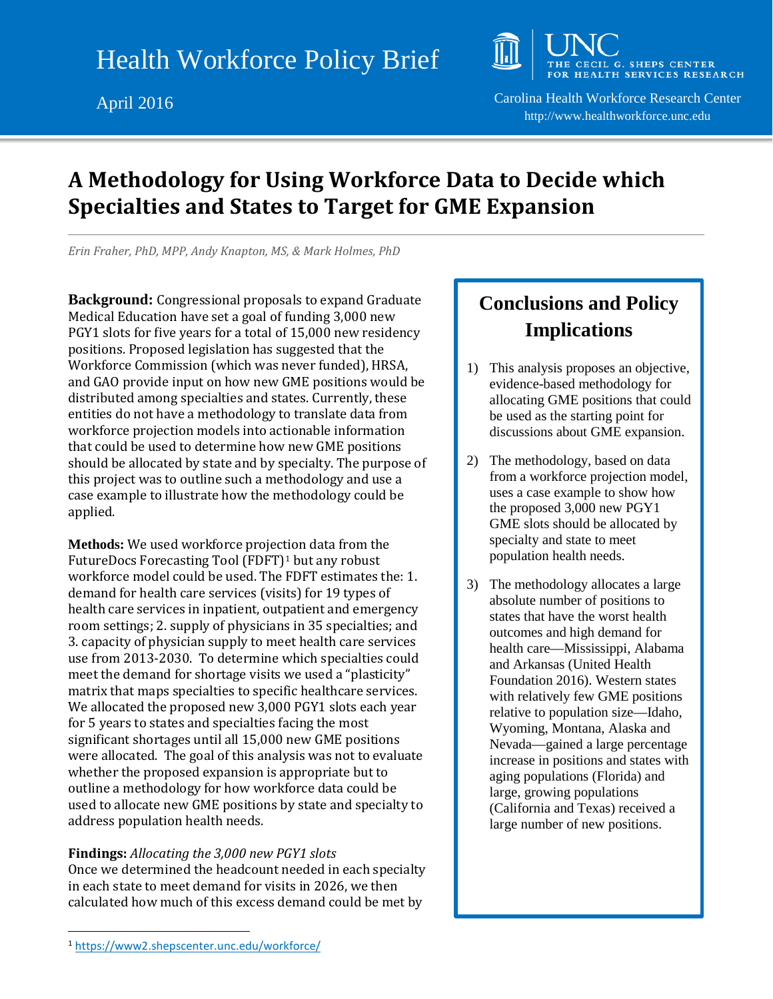

April 2016 Carolina Health Workforce Research Center http://www.healthworkforce.unc.edu

## **A Methodology for Using Workforce Data to Decide which Specialties and States to Target for GME Expansion**

*Erin Fraher, PhD, MPP, Andy Knapton, MS, & Mark Holmes, PhD*

**Background:** Congressional proposals to expand Graduate Medical Education have set a goal of funding 3,000 new PGY1 slots for five years for a total of 15,000 new residency positions. Proposed legislation has suggested that the Workforce Commission (which was never funded), HRSA, and GAO provide input on how new GME positions would be distributed among specialties and states. Currently, these entities do not have a methodology to translate data from workforce projection models into actionable information that could be used to determine how new GME positions should be allocated by state and by specialty. The purpose of this project was to outline such a methodology and use a case example to illustrate how the methodology could be applied.

**Methods:** We used workforce projection data from the FutureDocs Forecasting Tool (FDFT)[1](#page-0-0) but any robust workforce model could be used. The FDFT estimates the: 1. demand for health care services (visits) for 19 types of health care services in inpatient, outpatient and emergency room settings; 2. supply of physicians in 35 specialties; and 3. capacity of physician supply to meet health care services use from 2013-2030. To determine which specialties could meet the demand for shortage visits we used a "plasticity" matrix that maps specialties to specific healthcare services. We allocated the proposed new 3,000 PGY1 slots each year for 5 years to states and specialties facing the most significant shortages until all 15,000 new GME positions were allocated. The goal of this analysis was not to evaluate whether the proposed expansion is appropriate but to outline a methodology for how workforce data could be used to allocate new GME positions by state and specialty to address population health needs.

**Findings:** *Allocating the 3,000 new PGY1 slots* Once we determined the headcount needed in each specialty in each state to meet demand for visits in 2026, we then calculated how much of this excess demand could be met by

## **Conclusions and Policy Implications**

- 1) This analysis proposes an objective, evidence-based methodology for allocating GME positions that could be used as the starting point for discussions about GME expansion.
- 2) The methodology, based on data from a workforce projection model, uses a case example to show how the proposed 3,000 new PGY1 GME slots should be allocated by specialty and state to meet population health needs.
- 3) The methodology allocates a large absolute number of positions to states that have the worst health outcomes and high demand for health care—Mississippi, Alabama and Arkansas (United Health Foundation 2016). Western states with relatively few GME positions relative to population size—Idaho, Wyoming, Montana, Alaska and Nevada—gained a large percentage increase in positions and states with aging populations (Florida) and large, growing populations (California and Texas) received a large number of new positions.

<span id="page-0-0"></span> <sup>1</sup> <https://www2.shepscenter.unc.edu/workforce/>